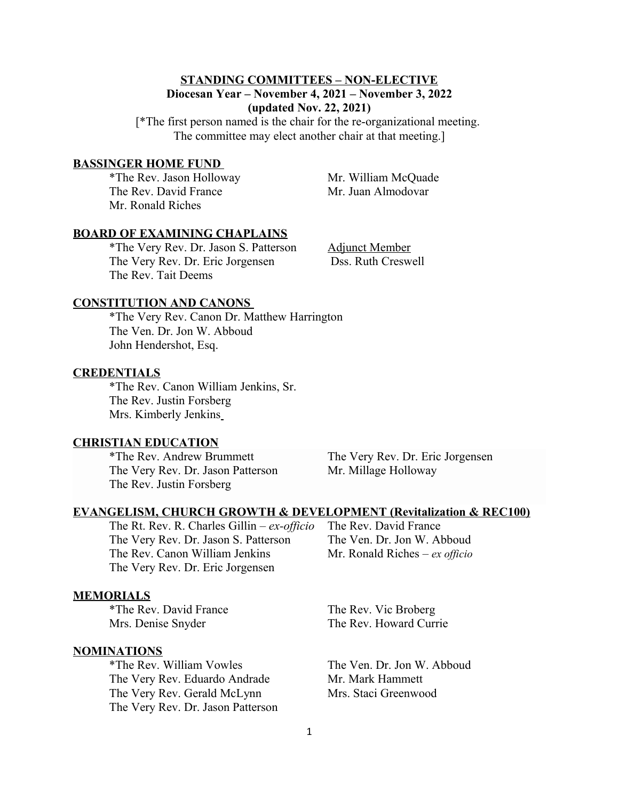# **STANDING COMMITTEES – NON-ELECTIVE Diocesan Year – November 4, 2021 – November 3, 2022 (updated Nov. 22, 2021)**

[\*The first person named is the chair for the re-organizational meeting. The committee may elect another chair at that meeting.]

#### **BASSINGER HOME FUND**

\*The Rev. Jason Holloway Mr. William McQuade The Rev. David France Mr. Juan Almodovar Mr. Ronald Riches

#### **BOARD OF EXAMINING CHAPLAINS**

\*The Very Rev. Dr. Jason S. Patterson Adjunct Member The Very Rev. Dr. Eric Jorgensen Dss. Ruth Creswell The Rev. Tait Deems

### **CONSTITUTION AND CANONS**

\*The Very Rev. Canon Dr. Matthew Harrington The Ven. Dr. Jon W. Abboud John Hendershot, Esq.

### **CREDENTIALS**

\*The Rev. Canon William Jenkins, Sr. The Rev. Justin Forsberg Mrs. Kimberly Jenkins

### **CHRISTIAN EDUCATION**

The Very Rev. Dr. Jason Patterson Mr. Millage Holloway The Rev. Justin Forsberg

\*The Rev. Andrew Brummett The Very Rev. Dr. Eric Jorgensen

## **EVANGELISM, CHURCH GROWTH & DEVELOPMENT (Revitalization & REC100)**

The Rt. Rev. R. Charles Gillin – *ex-officio* The Rev. David France The Very Rev. Dr. Jason S. Patterson The Ven. Dr. Jon W. Abboud The Rev. Canon William Jenkins Mr. Ronald Riches – *ex officio* The Very Rev. Dr. Eric Jorgensen

#### **MEMORIALS**

\*The Rev. David France The Rev. Vic Broberg

#### **NOMINATIONS**

\*The Rev. William Vowles The Ven. Dr. Jon W. Abboud The Very Rev. Eduardo Andrade Mr. Mark Hammett The Very Rev. Gerald McLynn Mrs. Staci Greenwood The Very Rev. Dr. Jason Patterson

Mrs. Denise Snyder The Rev. Howard Currie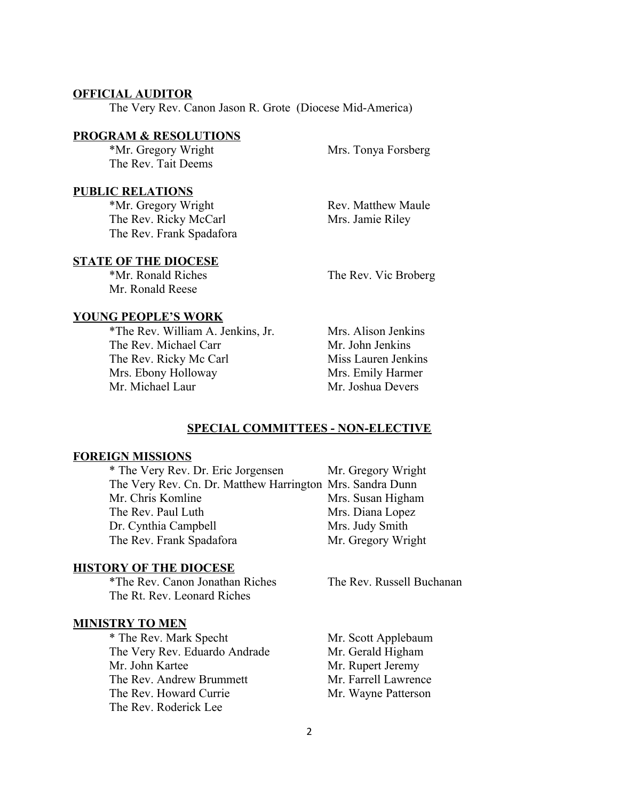## **OFFICIAL AUDITOR**

The Very Rev. Canon Jason R. Grote (Diocese Mid-America)

### **PROGRAM & RESOLUTIONS**

\*Mr. Gregory Wright Mrs. Tonya Forsberg The Rev. Tait Deems

# **PUBLIC RELATIONS**

\*Mr. Gregory Wright Rev. Matthew Maule The Rev. Ricky McCarl Mrs. Jamie Riley The Rev. Frank Spadafora

## **STATE OF THE DIOCESE**

Mr. Ronald Reese

\*Mr. Ronald Riches The Rev. Vic Broberg

## **YOUNG PEOPLE'S WORK**

\*The Rev. William A. Jenkins, Jr. Mrs. Alison Jenkins The Rev. Michael Carr Mr. John Jenkins The Rev. Ricky Mc Carl Miss Lauren Jenkins Mrs. Ebony Holloway Mrs. Emily Harmer Mr. Michael Laur Mr. Joshua Devers

### **SPECIAL COMMITTEES - NON-ELECTIVE**

### **FOREIGN MISSIONS**

| * The Very Rev. Dr. Eric Jorgensen                        | Mr. Gregory Wright |
|-----------------------------------------------------------|--------------------|
| The Very Rev. Cn. Dr. Matthew Harrington Mrs. Sandra Dunn |                    |
| Mr. Chris Komline                                         | Mrs. Susan Higham  |
| The Rev. Paul Luth                                        | Mrs. Diana Lopez   |
| Dr. Cynthia Campbell                                      | Mrs. Judy Smith    |
| The Rev. Frank Spadafora                                  | Mr. Gregory Wright |

### **HISTORY OF THE DIOCESE**

\*The Rev. Canon Jonathan Riches The Rev. Russell Buchanan The Rt. Rev. Leonard Riches

## **MINISTRY TO MEN**

\* The Rev. Mark Specht Mr. Scott Applebaum<br>The Very Rev. Eduardo Andrade Mr. Gerald Higham The Very Rev. Eduardo Andrade Mr. John Kartee Mr. Rupert Jeremy The Rev. Andrew Brummett Mr. Farrell Lawrence The Rev. Howard Currie Mr. Wayne Patterson The Rev. Roderick Lee